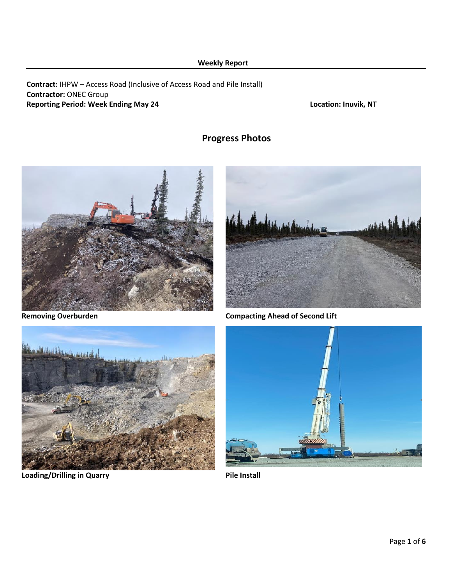## **Weekly Report**

## **Contract:** IHPW – Access Road (Inclusive of Access Road and Pile Install) **Contractor:** ONEC Group **Reporting Period: Week Ending May 24 Location: Inuvik, NT**

# **Progress Photos**





**Removing Overburden Compacting Ahead of Second Lift**



**Loading/Drilling in Quarry Pile Install** 

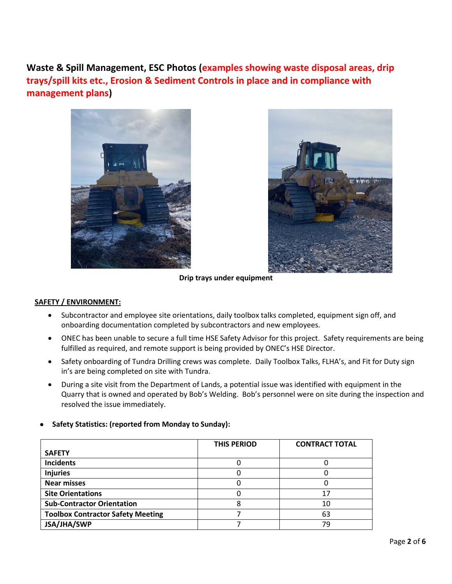**Waste & Spill Management, ESC Photos (examples showing waste disposal areas, drip trays/spill kits etc., Erosion & Sediment Controls in place and in compliance with management plans)**





**Drip trays under equipment**

## **SAFETY / ENVIRONMENT:**

- Subcontractor and employee site orientations, daily toolbox talks completed, equipment sign off, and onboarding documentation completed by subcontractors and new employees.
- ONEC has been unable to secure a full time HSE Safety Advisor for this project. Safety requirements are being fulfilled as required, and remote support is being provided by ONEC's HSE Director.
- Safety onboarding of Tundra Drilling crews was complete. Daily Toolbox Talks, FLHA's, and Fit for Duty sign in's are being completed on site with Tundra.
- During a site visit from the Department of Lands, a potential issue was identified with equipment in the Quarry that is owned and operated by Bob's Welding. Bob's personnel were on site during the inspection and resolved the issue immediately.
- **Safety Statistics: (reported from Monday to Sunday):**

|                                          | <b>THIS PERIOD</b> | <b>CONTRACT TOTAL</b> |
|------------------------------------------|--------------------|-----------------------|
| <b>SAFETY</b>                            |                    |                       |
| <b>Incidents</b>                         | U                  |                       |
| <b>Injuries</b>                          |                    |                       |
| <b>Near misses</b>                       |                    |                       |
| <b>Site Orientations</b>                 |                    | 17                    |
| <b>Sub-Contractor Orientation</b>        |                    | 10                    |
| <b>Toolbox Contractor Safety Meeting</b> |                    | 63                    |
| JSA/JHA/SWP                              |                    | 79                    |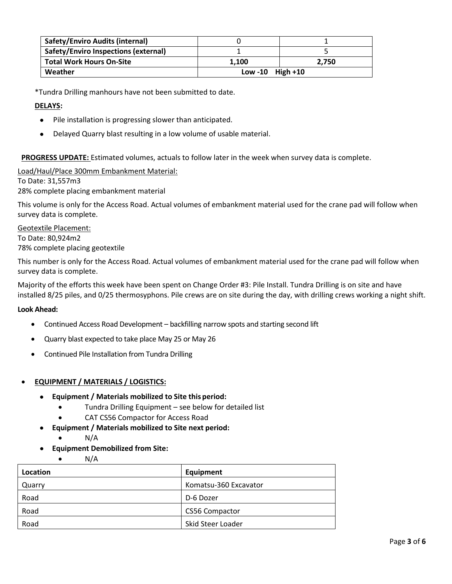| <b>Safety/Enviro Audits (internal)</b>      |                     |       |
|---------------------------------------------|---------------------|-------|
| <b>Safety/Enviro Inspections (external)</b> |                     |       |
| <b>Total Work Hours On-Site</b>             | 1.100               | 2.750 |
| Weather                                     | Low -10 $High + 10$ |       |

\*Tundra Drilling manhours have not been submitted to date.

## **DELAYS:**

- Pile installation is progressing slower than anticipated.
- Delayed Quarry blast resulting in a low volume of usable material.

**PROGRESS UPDATE:** Estimated volumes, actuals to follow later in the week when survey data is complete.

Load/Haul/Place 300mm Embankment Material:

To Date: 31,557m3

28% complete placing embankment material

This volume is only for the Access Road. Actual volumes of embankment material used for the crane pad will follow when survey data is complete.

Geotextile Placement: To Date: 80,924m2 78% complete placing geotextile

This number is only for the Access Road. Actual volumes of embankment material used for the crane pad will follow when survey data is complete.

Majority of the efforts this week have been spent on Change Order #3: Pile Install. Tundra Drilling is on site and have installed 8/25 piles, and 0/25 thermosyphons. Pile crews are on site during the day, with drilling crews working a night shift.

### **Look Ahead:**

- Continued Access Road Development backfilling narrow spots and starting second lift
- Quarry blast expected to take place May 25 or May 26
- Continued Pile Installation from Tundra Drilling

## • **EQUIPMENT / MATERIALS / LOGISTICS:**

 $N/A$ 

- **Equipment / Materials mobilized to Site this period:**
	- Tundra Drilling Equipment see below for detailed list
	- CAT CS56 Compactor for Access Road
- **Equipment / Materials mobilized to Site next period:**
	- $\bullet$  N/A
- **Equipment Demobilized from Site:**

| Location | Equipment             |
|----------|-----------------------|
| Quarry   | Komatsu-360 Excavator |
| Road     | D-6 Dozer             |
| Road     | <b>CS56 Compactor</b> |
| Road     | Skid Steer Loader     |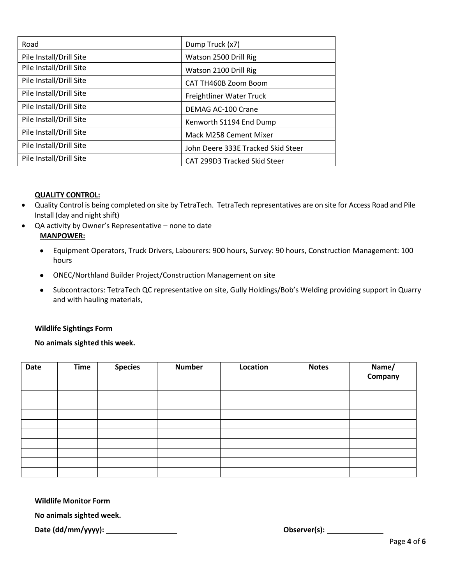| Road                    | Dump Truck (x7)                    |
|-------------------------|------------------------------------|
| Pile Install/Drill Site | Watson 2500 Drill Rig              |
| Pile Install/Drill Site | Watson 2100 Drill Rig              |
| Pile Install/Drill Site | CAT TH460B Zoom Boom               |
| Pile Install/Drill Site | Freightliner Water Truck           |
| Pile Install/Drill Site | DEMAG AC-100 Crane                 |
| Pile Install/Drill Site | Kenworth S1194 End Dump            |
| Pile Install/Drill Site | Mack M258 Cement Mixer             |
| Pile Install/Drill Site | John Deere 333E Tracked Skid Steer |
| Pile Install/Drill Site | CAT 299D3 Tracked Skid Steer       |

## **QUALITY CONTROL:**

- Quality Control is being completed on site by TetraTech. TetraTech representatives are on site for Access Road and Pile Install (day and night shift)
- QA activity by Owner's Representative none to date **MANPOWER:**
	- Equipment Operators, Truck Drivers, Labourers: 900 hours, Survey: 90 hours, Construction Management: 100 hours
	- ONEC/Northland Builder Project/Construction Management on site
	- Subcontractors: TetraTech QC representative on site, Gully Holdings/Bob's Welding providing support in Quarry and with hauling materials,

## **Wildlife Sightings Form**

**No animals sighted this week.**

| Date | <b>Time</b> | <b>Species</b> | <b>Number</b> | Location | <b>Notes</b> | Name/<br>Company |
|------|-------------|----------------|---------------|----------|--------------|------------------|
|      |             |                |               |          |              |                  |
|      |             |                |               |          |              |                  |
|      |             |                |               |          |              |                  |
|      |             |                |               |          |              |                  |
|      |             |                |               |          |              |                  |
|      |             |                |               |          |              |                  |
|      |             |                |               |          |              |                  |
|      |             |                |               |          |              |                  |
|      |             |                |               |          |              |                  |
|      |             |                |               |          |              |                  |

**Wildlife Monitor Form**

**No animals sighted week.** 

**Date (dd/mm/yyyy): Observer(s):**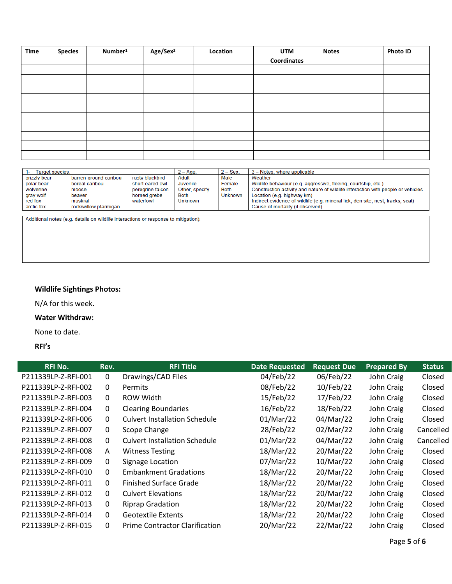| Time | <b>Species</b> | Number <sup>1</sup> | Age/Sex <sup>2</sup> | Location | <b>UTM</b>  | <b>Notes</b> | <b>Photo ID</b> |
|------|----------------|---------------------|----------------------|----------|-------------|--------------|-----------------|
|      |                |                     |                      |          | Coordinates |              |                 |
|      |                |                     |                      |          |             |              |                 |
|      |                |                     |                      |          |             |              |                 |
|      |                |                     |                      |          |             |              |                 |
|      |                |                     |                      |          |             |              |                 |
|      |                |                     |                      |          |             |              |                 |
|      |                |                     |                      |          |             |              |                 |
|      |                |                     |                      |          |             |              |                 |
|      |                |                     |                      |          |             |              |                 |
|      |                |                     |                      |          |             |              |                 |
|      |                |                     |                      |          |             |              |                 |

| Target species: |                       |                  | $2 - Age$ :    | $2 -$ Sex:     | 3 - Notes, where applicable                                                      |
|-----------------|-----------------------|------------------|----------------|----------------|----------------------------------------------------------------------------------|
| grizzly bear    | barren-ground caribou | rusty blackbird  | Adult          | Male           | Weather                                                                          |
| polar bear      | boreal caribou        | short-eared owl  | Juvenile       | Female         | Wildlife behaviour (e.g. aggressive, fleeing, courtship, etc.)                   |
| wolverine       | moose                 | peregrine falcon | Other, specify | Both           | Construction activity and nature of wildlife interaction with people or vehicles |
| gray wolf       | beaver                | horned grebe     | <b>Both</b>    | <b>Unknown</b> | Location (e.g. highway km)                                                       |
| red fox         | muskrat               | waterfowl        | <b>Unknown</b> |                | Indirect evidence of wildlife (e.g. mineral lick, den site, nest, tracks, scat)  |
| arctic fox      | rock/willow ptarmigan |                  |                |                | Cause of mortality (if observed)                                                 |

Additional notes (e.g. details on wildlife interactions or response to mitigation):

# **Wildlife Sightings Photos:**

N/A for this week.

### **Water Withdraw:**

None to date.

### **RFI's**

| <b>RFI No.</b>      | Rev.         | <b>RFI Title</b>                      | <b>Date Requested</b> | <b>Request Due</b> | <b>Prepared By</b> | <b>Status</b> |
|---------------------|--------------|---------------------------------------|-----------------------|--------------------|--------------------|---------------|
| P211339LP-Z-RFI-001 | 0            | Drawings/CAD Files                    | 04/Feb/22             | 06/Feb/22          | John Craig         | Closed        |
| P211339LP-Z-RFI-002 | 0            | <b>Permits</b>                        | 08/Feb/22             | 10/Feb/22          | John Craig         | Closed        |
| P211339LP-Z-RFI-003 | 0            | ROW Width                             | 15/Feb/22             | 17/Feb/22          | John Craig         | Closed        |
| P211339LP-Z-RFI-004 | 0            | <b>Clearing Boundaries</b>            | 16/Feb/22             | 18/Feb/22          | John Craig         | Closed        |
| P211339LP-Z-RFI-006 | 0            | <b>Culvert Installation Schedule</b>  | 01/Mar/22             | 04/Mar/22          | John Craig         | Closed        |
| P211339LP-Z-RFI-007 | 0            | Scope Change                          | 28/Feb/22             | 02/Mar/22          | John Craig         | Cancelled     |
| P211339LP-Z-RFI-008 | $\Omega$     | <b>Culvert Installation Schedule</b>  | 01/Mar/22             | 04/Mar/22          | John Craig         | Cancelled     |
| P211339LP-Z-RFI-008 | $\mathsf{A}$ | <b>Witness Testing</b>                | 18/Mar/22             | 20/Mar/22          | John Craig         | Closed        |
| P211339LP-Z-RFI-009 | 0            | Signage Location                      | 07/Mar/22             | 10/Mar/22          | John Craig         | Closed        |
| P211339LP-Z-RFI-010 | $\mathbf{0}$ | <b>Embankment Gradations</b>          | 18/Mar/22             | 20/Mar/22          | John Craig         | Closed        |
| P211339LP-Z-RFI-011 | 0            | <b>Finished Surface Grade</b>         | 18/Mar/22             | 20/Mar/22          | John Craig         | Closed        |
| P211339LP-Z-RFI-012 | $\Omega$     | <b>Culvert Elevations</b>             | 18/Mar/22             | 20/Mar/22          | John Craig         | Closed        |
| P211339LP-Z-RFI-013 | 0            | <b>Riprap Gradation</b>               | 18/Mar/22             | 20/Mar/22          | John Craig         | Closed        |
| P211339LP-Z-RFI-014 | 0            | <b>Geotextile Extents</b>             | 18/Mar/22             | 20/Mar/22          | John Craig         | Closed        |
| P211339LP-Z-RFI-015 | 0            | <b>Prime Contractor Clarification</b> | 20/Mar/22             | 22/Mar/22          | John Craig         | Closed        |